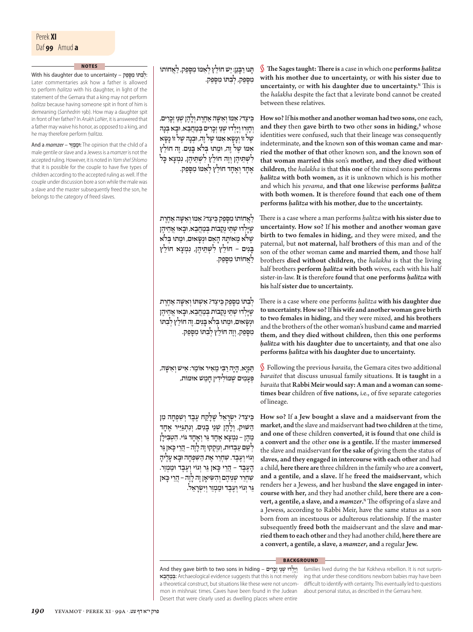## **NOTES**

: **ְל ִב ּתוֹ ִמ ָּסֵפק** – uncertainty to due daughter his With Later commentaries ask how a father is allowed to perform *ĥalitza* with his daughter, in light of the statement of the Gemara that a king may not perform *ĥalitza* because having someone spit in front of him is demeaning (*Sanhedrin* 19b). How may a daughter spit in front of her father? In *Arukh LaNer*, it is answered that a father may waive his honor, as opposed to a king, and he may therefore perform *ĥalitza*.

 And a *mamzer* – **זרֵמְ מַוּ**: The opinion that the child of a male gentile or slave and a Jewess is a *mamzer* is not the accepted ruling. However, it is noted in *Yam shel Shlomo* that it is possible for the couple to have five types of children according to the accepted ruling as well. If the couple under discussion bore a son while the male was a slave and the master subsequently freed the son, he belongs to the category of freed slaves.

| ∫ תַּנוּ רַבְּנַן: יֵשׁ חוֹלֵץ לְאָמּוֹ מִסְּפֵק, לַאֲחוֹתוֹ |   |
|--------------------------------------------------------------|---|
| ִנְפָפֵק, לְבִתּוֹ מִפָּפֵק.                                 | v |
|                                                              |   |
|                                                              |   |

**ּכ ַיצד? ִא ּמוְֹו ִאָּׁשה ַאֶחֶרתְוָלֶהן ׁ ְשֵני ְזָכִרים, ֵ ְוָחְז ּרו ְוָי ְל ּדו ׁ ְשֵני ְזָכִרים ְּבַמֲחֵבא, ּוָבא ְּבָנ ּה ֶׁשל זוֹ ְוָנָׂשא ִא ּמוֹ ֶׁשלֶזה, ּוְבָנ ּה ֶׁשל זוָֹנָׂשא ִא ּמוֹ ֶׁשל ֶזה, ּוֵמ ּתו ְּבלֹא ָּבִנים. ֶזה ֵחוֹלץ ּכל ִל ׁ ְש ֵּת ֶיהן ְוֶזה ֵחוֹלץ ִל ׁ ְש ֵּת ֶיהן, ִנ ְמָצא ָ ֶאָחד ְוֶאָחד ֵחוֹלץ ְל ִא ּמוֹ ִמ ָּסֵפק.** 

**ּכ ַיצד? ִא ּמוֹ ְו ִאָּׁשה ַאֶחֶרת ַלֲאחוֹתוֹ ִמ ָּסֵפק ֵ ֶׁשָיּ ְל ּדו ׁ ְשֵּתי ְנֵקבוֹת ְּבַמֲחֵבא, ּוָב ּאוֲאֵח ֶיהן ֶׁשּלֹא ֵמ ָאוֹת ּה ָהֵאם ּוְנָׂש ּאום, ּוֵמ ּתו ְּבלֹא ָּבִנים – ֵחוֹלץ ִל ׁ ְש ֵּת ֶיהן, ִנ ְמָצא ֵחוֹלץ ַלֲאחוֹתוֹ ִמ ָּסֵפק.** 

**ּכ ַיצד? ִאׁ ְשּתוֹ ְו ִאָּׁשה ַאֶחֶרת ְל ִב ּתוֹ ִמ ָּסֵפק ֵ ֶׁשָיּ ְל ּדו ׁ ְשֵּתי ְנֵקבוֹת ְּבַמֲחֵבא, ּוָב ּאוֲאֵח ֶיהן ּוְנָׂש ּאום, ּוֵמ ּתו ְּבלֹא ָּבִנים. ֶזה ֵחוֹלץ ְל ִב ּתוֹ ִמ ָּסֵפק, ְוֶזה ֵחוֹלץ ְל ִב ּתוֹ ִמ ָּסֵפק.**

**ַּתְנָיא, ָהָיהַרִּבי ֵמ ִאיר ֵאוֹמר: ִא ׁישְו ִאָּׁשה, ְּפָע ִמים ֶׁשּמ ִוֹל ִידין ָחֵמׁש ּאו ּמוֹת,** 

**ּכ ַיצד? ִי ְׂשָרֵאל ֶׁשָּלַקח ֶעֶבד ְו ׁ ִשְפָחה ִמן ֵ ַה ּׁשּוק, ְוָלֶהן ׁ ְשֵני ָבִנים, ְוִנ ְתַּגֵיּיר ֶאָחד ֵמֶהן – ִנְמָצא ֶאָחד ֵּגרְוֶאָחד ּגוֹי. ִה ְט ִּב ָילן ּכאןֵּגר ְל ֵׁשם ַע ְב ּדות, ְוִנְז ְק ּקוֶזה ָלֶזה – ֲהֵרי ָ ְוגוֹי ְוֶעֶבד. ׁ ִש ְחֵרר ֶאת ַהִּׁשְפָחה ּוָבא ָעֶל ָיה ּכאן ֵּגר ְוגוֹי ְוֶעֶבד ּוַמ ְמֵזר. ָהֶעֶבד – ֲהֵרי ָ ּכאן ׁ ִש ְחֵרר ׁ ְשֵנ ֶיהם ְו ִה ִּׂש ָיאןֶזה ָלֶזה – ֲהֵרי ָ ֵּגרְוגוֹי ְוֶעֶבד ּוַמ ְמֵזרְוִי ְׂשָרֵאל.** 

§ **Th e Sages taught: Th ere is** a case in which one **performs** *ĥalitza* **with his mother due to uncertainty,** or **with his sister due to uncertainty, or with his daughter due to uncertainty.**<sup>N</sup> This is the *halakha* despite the fact that a levirate bond cannot be created between these relatives.

**How so?** If **his mother and another woman had two sons,** one each, and they then gave birth to two other sons in hiding,<sup>B</sup> whose identities were confused, such that their lineage was consequently indeterminate, **and the** known **son of this woman came and married the mother of that** other known son, **and the** known **son of that woman married this** son's **mother, and they died without children,** the *halakha* is that **this one** of the mixed sons **performs**  *ĥalitza* **with both women,** as it is unknown which is his mother and which his *yevama*, **and that one** likewise **performs** *ĥalitza* **with both women. It is** therefore **found** that **each one of them performs** *ĥalitza* **with his mother, due to** the **uncertainty.**

Th ere is a case where a man performs *ĥalitza* **with his sister due to uncertainty. How so?** If **his mother and another woman gave birth to two females in hiding,** and they were mixed, **and** the paternal, but **not maternal,** half **brothers** of this man and of the son of the other woman **came and married them, and** those half brothers **died without children,** the *halakha* is that the living half brothers **perform** *ĥalitza* **with both** wives, each with his half sister-in-law. **It is** therefore **found** that **one performs** *ĥalitza* **with his** half **sister due to uncertainty.**

Th ere is a case where one performs *ĥalitza* **with his daughter due to uncertainty. How so?** If **his wife and another woman gave birth to two females in hiding,** and they were mixed, **and his brothers**  and the brothers of the other woman's husband **came and married them, and they died without children,** then **this one performs**  *ĥalitza* **with his daughter due to uncertainty, and that one** also **performs** *ĥalitza* **with his daughter due to uncertainty.**

§ Following the previous *baraita*, the Gemara cites two additional *baraitot* that discuss unusual family situations. **It is taught** in a *baraita* that**Rabbi Meir would say: A man and a woman can sometimes bear** children of five nations, i.e., of five separate categories of lineage.

**How so?** If **a Jew bought a slave and a maidservant from the market, and** the slave and maidservant **had two children** at the time, **and one of** these children **converted, it is found** that **one** child **is a convert and** the other **one is a gentile.** If the master **immersed**  the slave and maidservant **for the sake of** giving them the status of **slaves, and they engaged in intercourse with each other** and had a child, **here there are** three children in the familywho are **a convert, and a gentile, and a slave.** If he **freed the maidservant,** which renders her a Jewess, **and** her husband **the slave engaged in intercourse with her,** and they had another child, **here there are a con**vert, a gentile, a slave, and a *mamzer*.<sup>8</sup> The offspring of a slave and a Jewess, according to Rabbi Meir, have the same status as a son born from an incestuous or adulterous relationship. If the master subsequently **freed both** the maidservant and the slave **and married them to each other** and they had another child, **here there are a convert, a gentile, a slave, a** *mamzer***, and** a regular **Jew.**

#### **BACKGROUND**

**And they gave birth to two sons in hiding – וילדוּ שני זכרים באֵחֲמַבְּ** : Archaeological evidence suggests that this is not merely a theoretical construct, but situations like these were not uncommon in mishnaic times. Caves have been found in the Judean Desert that were clearly used as dwelling places where entire

families lived during the bar Kokheva rebellion. It is not surprising that under these conditions newborn babies may have been difficult to identify with certainty. This eventually led to questions about personal status, as described in the Gemara here.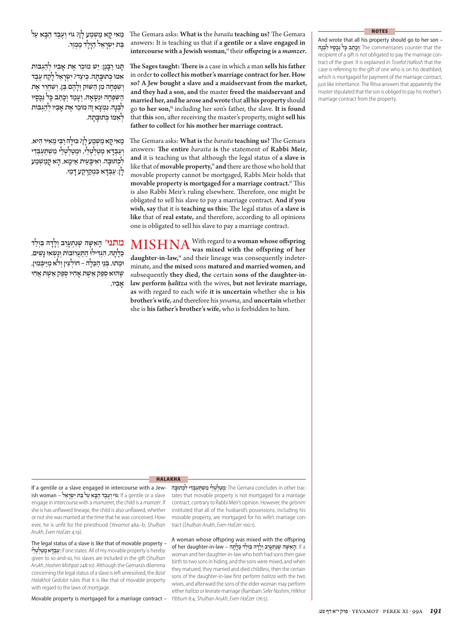**ַמאי ָקא ַמׁ ְשַמע ָלן? ּגוֹי ְוֶעֶבד ַהָּבא ַעל ַּבת ִי ְׂשָרֵאל ַהָּוָלד ַמ ְמֵזר.**

**ָּת ּנו ַרָּבַנן: ֵיׁש ֵמוֹכר ֶאת ָא ִביו ְלַהְג ּבוֹת ּכ ַיצד? ִי ְׂשָרֵאל ָלַקח ֶעֶבד ּכ ּתוָּבָת ּה. ֵ ִא ּמוֹ ְ ְו ׁ ִשְפָחה ִמן ַהּׁשּוק ְוָלֶהם ֵּבן, ְו ׁ ִש ְחֵרר ֶאת ּכל ְנָכָסיו ַהִּׁשְפָחה ּוְנָׂשָא ּה, ְוָעַמד ְוָכַתב ָ ִל ְבָנ ּה. ִנְמָצאֶזה ֵמוֹכר ֶאת ָא ִביו ְלַהְג ּבוֹת ּכ ּתוָּבָת ּה. ְל ִא ּמוֹ ְ**

**ַמאיָקא ַמׁ ְשַמע ָלן? ּכּוָּל ּהַרִּבי ֵמ ִאיר ִהיא, ְוַע ְבָּדא ְמַט ְל ְטֵלי, ּו ְמַט ְל ְטֵלי ִמׁ ְשַּתְע ְּבִדי ִל ְכ ּתוָּבה. ְו ִא ָּיבֵעית ֵא ָימא, ָהא ָקַמׁ ְשַמע ּכ ְמַקְרַקעָּדֵמי. ָלן: ַע ְבָּדא ִ**

**ּנ ְתָעֵרב ְוָלָד ּה ִּבְוַלד מתני׳** הָאִשָּׁה שֶׁנִּתְעָרֵב וְלָדָהּ בִּוְלַד<br>כַּלַּתָּהּ, הִגְדִּילוּ הַתַּעֲרוֹבוֹת וְנָשָׂאוּ נָשִׁים, **ַ ּכָּלה – ְחוֹל ִצין ְולֹא ְמַי ְּיב ִמין, ּוֵמ ּתו, ְּבֵני ַהַ ֶׁש ּהוא ְסֵפק ֵאֶׁשת ָא ִחיו ְסֵפק ֵאֶׁשתֲא ִחי ָא ִביו,**  The Gemara asks: What is the *baraita* teaching us? The Gemara answers: It is teaching us that if **a gentile or a slave engaged in intercourse with a Jewish woman,**<sup>H</sup> their **offspring is a** *mamzer***.** 

**Th e Sages taught: Th ere is** a case in which a man **sells his father**  in order **to collect his mother's marriage contract for her. How so? A Jew bought a slave and a maidservant from the market, and they had a son, and** the master **freed the maidservant and married her, and he arose and wrote** that **all his property** should go **to her son,**<sup>N</sup>including her son's father, the slave. **It is found**  that this son, after receiving the master's property, might sell his **father to collect** for **his mother her marriage contract.** 

The Gemara asks: What is the *baraita* **teaching us?** The Gemara answers: **Th e entire** *baraita* **is** the statement of **Rabbi Meir, and** it is teaching us that although the legal status of **a slave is**  like that of **movable property**,<sup>H</sup> and there are those who hold that movable property cannot be mortgaged, Rabbi Meir holds that movable property is mortgaged for a marriage contract.<sup>H</sup> This is also Rabbi Meir's ruling elsewhere. Therefore, one might be obligated to sell his slave to pay a marriage contract. **And if you**  wish, say that it is **teaching us this:** The legal status of a slave is **like** that of **real estate,** and therefore, according to all opinions one is obligated to sell his slave to pay a marriage contract.

**MISHNA** With regard to a woman whose offspring  $MISHNA$  was mixed with the offspring of her **daughter-in-law,**<sup>H</sup>and their lineage was consequently indeterminate, and **the mixed** sons **matured and married women, and**  subsequently **they died, the** certain **sons of the daughter-inlaw perform** *ĥalitza* with the wives, **but not levirate marriage, as** with regard to each wife **it is uncertain** whether she is **his brother's wife,** and therefore his *yevama*, and **uncertain** whether she is **his father's brother's wife,** who is forbidden to him.

#### **NOTES**

 And wrote that all his property should go to her son – the that counter commentaries The **ְ**:**וָכַתב ָּכל ְנָכָסיו ִל ְבָנ ּה** recipient of a gift is not obligated to pay the marriage contract of the giver. It is explained in *Tosefot HaRosh* that the case is referring to the gift of one who is on his deathbed, which is mortgaged for payment of the marriage contract, just like inheritance. The Ritva answers that apparently the master stipulated that the son is obliged to pay his mother's marriage contract from the property.

**HALAKHA**

 If a gentile or a slave engaged in intercourse with a Jewish woman – **אלֵרָשְׂ יִ בתַּ עלַ באָּהַ בדֶעֶוְ גוֹיּ** : If a gentile or a slave engage in intercourse with a *mamzeret*, the child is a *mamzer*. If she is has unflawed lineage, the child is also unflawed, whether or not she was married at the time that he was conceived. However, he is unfit for the priesthood (*Yevamot* 48a–b; *Shulĥan Arukh*, *Even HaEzer* 4:19).

 The legal status of a slave is like that of movable property – **ליֵטְ לְ טַמְ דאָּבְ עַ**: If one states: All of my movable property is hereby given to so-and-so, his slaves are included in the gift (*Shulĥan Arukh*, *Ĥoshen Mishpat* 248:10). Although the Gemara's dilemma concerning the legal status of a slave is left unresolved, the *Ba'al Halakhot Gedolot* rules that it is like that of movable property with regard to the laws of mortgage.

Movable property is mortgaged for a marriage contract –

**בהָּתוּ כְ לִ דיִבְּ עְתַּשְ ׁמִ ליֵטְ לְ טַמְ** : The Gemara concludes in other tractates that movable property is not mortgaged for a marriage contract, contrary to Rabbi Meir's opinion. However, the *ge'onim* instituted that all of the husband's possessions, including his movable property, are mortgaged for his wife's marriage contract (*Shulĥan Arukh*, *Even HaEzer* 100:1).

 A woman whose offspring was mixed with the offspring **ּנְתָעֵרב ְוָלָד ּה ִּבְוַלד ַּכָּלָתה** – law-in-daughter her of a If **ָ**:**ה ִאָּׁשה ֶׁשִ** woman and her daughter-in-law who both had sons then gave birth to two sons in hiding, and the sons were mixed, and when they matured, they married and died childless, then the certain sons of the daughter-in-law first perform *ĥalitza* with the two wives, and afterward the sons of the elder woman may perform either *ĥalitza* or levirate marriage (Rambam *Sefer Nashim*, *Hilkhot Yibbum* 8:4; *Shulĥan Arukh*, *Even HaEzer* 176:5).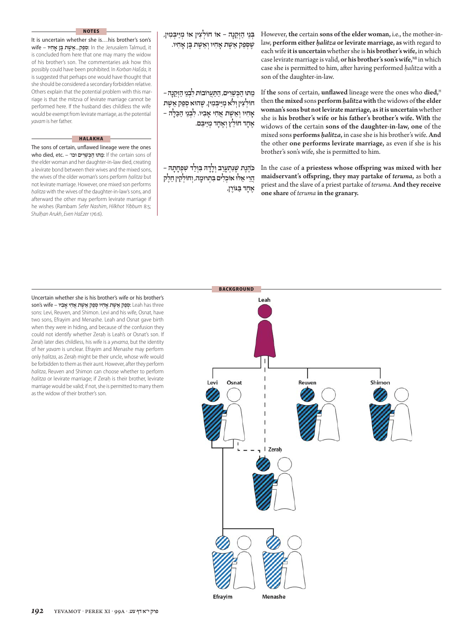# **NOTES**

 It is uncertain whether she is…his brother's son's it ,Talmud Jerusalem the In : **ְסֵפק...ֵאֶׁשת ֶּבן ָא ִחיו** – wife is concluded from here that one may marry the widow of his brother's son. The commentaries ask how this possibly could have been prohibited. In *Korban HaEda*, it is suggested that perhaps one would have thought that she should be considered a secondary forbidden relative. Others explain that the potential problem with this marriage is that the mitzva of levirate marriage cannot be performed here. If the husband dies childless the wife would be exempt from levirate marriage, as the potential *yavam* is her father.

### **HALAKHA**

 The sons of certain, unflawed lineage were the ones **ּכֵׁשִרים וכו׳** – .etc ,died who **ְ הַ תוּ מֵ**: If the certain sons of the elder woman and her daughter-in-law died, creating a levirate bond between their wives and the mixed sons, the wives of the older woman's sons perform *ĥalitza* but not levirate marriage. However, one mixed son performs *ĥalitza* with the wives of the daughter-in-law's sons, and afterward the other may perform levirate marriage if he wishes (Rambam *Sefer Nashim*, *Hilkhot Yibbum* 8:5; *Shulĥan Arukh*, *Even HaEzer* 176:6).

**ְּבֵני ַהְזֵּקָנה – אוֹ ְחוֹל ִצין אוֹ ְמַי ְּיב ִמין, ֶׁשְּסֵפק ֵאֶׁשת ָא ִחיו ְוֵאֶׁשת ֶּבן ָא ִחיו.** 

**ּכֵׁשִרים, ַה ַּתֲערוֹבוֹת ִל ְבֵני ַהְזֵּקָנה – ֵמ ּתו ַה ְ ְחוֹל ִצין ְולֹא ְמַי ְּיב ִמין, ֶׁש ּהוא ְסֵפק ֵאֶׁשת ּכָּלה – ָא ִחיו ְוֵאֶׁשת ֲא ִחי ָא ִביו. ִל ְבֵני ַהַ ֶאָחד ֵחוֹלץ ְוֶאָחד ְמַי ֵּיבם.** 

**ּנְתָעֵרב ְוָלָד ּה ִּבְוַלד ׁ ִשְפָחָת ּה – ּכֶֹהֶנת ֶׁשִ ֲהֵרי ֵא ּלּו ְאוֹכִלים ִּב ְת ּרוָמה, ְו ְחוֹל ִקין ֵחֶלק ֶאָחד ַּב ּגֶוֹרן,** However, **the** certain **sons of the elder woman,** i.e., the mother-inlaw, **perform either** *ĥalitza* **or levirate marriage, as** with regard to eachwife **it is uncertain** whether she is **his brother's wife,** in which case levirate marriage is valid, or his brother's son's wife,<sup>NB</sup> in which case she is permitted to him, after having performed *halitza* with a son of the daughter-in-law.

If the sons of certain, *unflawed lineage were the ones who died*,<sup>H</sup> then **the mixed** sons **perform** *ĥalitza* **with** the widows of**the elder woman's sons but not levirate marriage, as it is uncertain** whether she is **his brother's wife or his father's brother's wife. With** the widows of **the** certain **sons of the daughter-in-law, one** of the mixed sons **performs** *ĥalitza***,** in case she is his brother's wife. **And**  the other **one performs levirate marriage,** as even if she is his brother's son's wife, she is permitted to him.

In the case of a priestess whose offspring was mixed with her **maidservant's off spring, they may partake of** *teruma***,** as both a priest and the slave of a priest partake of *teruma*. **And they receive one share** of *teruma* **in the granary.** 

 Uncertain whether she is his brother's wife or his brother's three has Leah : **ְסֵפק ֵאֶׁשת ָא ִחיו ְסֵפק ֵאֶׁשת ֲא ִחי ָא ִביו** – wife s'son sons: Levi, Reuven, and Shimon. Levi and his wife, Osnat, have two sons, Efrayim and Menashe. Leah and Osnat gave birth when they were in hiding, and because of the confusion they could not identify whether Zeraḥ is Leah's or Osnat's son. If Zeraĥ later dies childless, his wife is a *yevama*, but the identity of her *yavam* is unclear. Efrayim and Menashe may perform only *ĥalitza*, as Zeraĥ might be their uncle, whose wife would be forbidden to them as their aunt. However, after they perform *ĥalitza*, Reuven and Shimon can choose whether to perform *ĥalitza* or levirate marriage; if Zeraĥ is their brother, levirate marriage would be valid; if not, she is permitted to marry them as the widow of their brother's son.

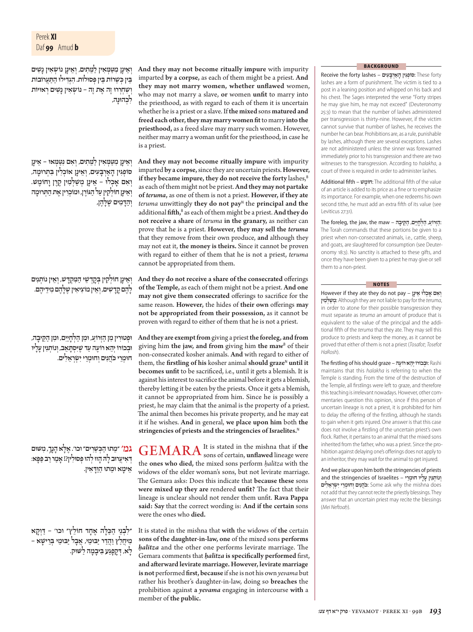Perek **XI** Daf **99** Amud **b**

**ְוֵא ָינן ִמ ַּט ְּמ ִאין ַל ֵּמ ִתים, ְוֵא ָינן ְׂ נוֹש ִאין ָנׁ ִשים ּכֵׁשרוֹת ֵּבין ְּפ ּסולוֹת. ִהְגִ ּד ּ ילו ַה ַּתֲערוֹבוֹת ֵּבין ְ ְו ׁ ִש ְחְר ּרו ֶזה ֶאתֶזה – ְׂ נוֹש ִאין ָנׁ ִשים ְר ּאויוֹת ִל ְכ ּהוָּנה,** 

**ְוֵא ָינן ִמ ַּט ְּמ ִאין ַל ֵּמ ִתים, ְו ִאם ִנַּט ְּמ ּאו – ֵא ָינן ְסוֹפִגין ָהַאְרָּב ִעים, ְוֵא ָינן ְאוֹכִלין ִּב ְת ּרוָמה, ּל ִמין ֶקֶרן ָו ֶחוֹמׁש. ְו ִאם ָא ְכ ּלו – ֵא ָינן ְמַׁשְ ְוֵא ָינן ְחוֹל ִקין ַעל ַה ּגֶוֹרן, ּו ְמוֹכִרין ֶאת ַה ְּת ּרוָמה ְוַהָּד ִמים ֶׁשָּלֶהן,** 

**ְוֵא ָינן ְחוֹל ִקין ְּבָקְד ֵׁשי ַה ִּמ ְקָּד ׁש, ְוֵאין ְ נוֹתִנים ָלֶהםָקָד ׁ ִשים, ְוֵאין ִמוֹצ ִיאין ֶׁשָּלֶהם ִמֵיד ֶיהם.**

**ּו ְפ ּטוִרין ִמן ַהְזּ רוֹע, ּו ִמן ַה ְּלָחַיִים, ּו ִמן ַהֵּק ָיבה, ּוְבכוֹרוֹ ְיֵהא ֶרוֹעה ַעד ֶׁשִיּ ְס ָּתֵאב, ְו ְ נוֹתִנין ָעָליו ּחו ְמֵרי ּכֲֹהִנים ְו ּחו ְמֵרי ִי ְׂשְרֵאִלים.**

**ּכֵׁשִרים״וכו׳. ֶאָּלא ָהָנְך, ִמּׁשּום** דְּאִיעֲרוּב לַה הָווּ לְהוּ פִּסוּלְיוְ?! אֲמֵר רַב פַּפֵּא: **ֵא ָימא ּוֵמ ּתו ַהַּוָּד ִאין.**

**ּכָּלה ֶאָחד ֵחוֹלץ״ וכו׳ – ַּדְוָקא ִ״ל ְבֵני ַהַ ִמ ֲיחַלץ ַוֲהַדרַי ּבּוֵמי, ֲאָבל ַי ּבּוֵמי ְּבֵר ָׁ ישא – ָלא, ְ ּדָקָפַגע ִּב ָיבָמה ַל ּׁשּוק.** **And they may not become ritually impure** with impurity imparted **by a corpse,** as each of them might be a priest. **And**  they may not marry women, whether unflawed women, who may not marry a slave, or women unfit to marry into the priesthood, as with regard to each of them it is uncertain whether he is a priest or a slave. If**the mixed** sons **matured and**  freed each other, they may marry women fit to marry into the **priesthood,** as a freed slave may marry such women. However, neither may marry a woman unfit for the priesthood, in case he is a priest.

**And they may not become ritually impure** with impurity imparted **by a corpse,** since they are uncertain priests. **However,**  if they became impure, they do not receive the forty lashes,<sup>B</sup> as each of them might not be priest. **And they may not partake of** *teruma***,** as one of them is not a priest. **However, if they ate**  *teruma* unwittingly they do not pay<sup>N</sup> the principal and the additional fifth,<sup>B</sup> as each of them might be a priest. And they do **not receive a share** of *teruma* **in the granary,** as neither can prove that he is a priest. **However, they may sell the** *teruma* that they remove from their own produce, **and** although they may not eat it, **the money is theirs.** Since it cannot be proven with regard to either of them that he is not a priest, *teruma* cannot be appropriated from them.

And they do not receive a share of the consecrated offerings **of the Temple,** as each of them might not be a priest. **And one**  may not give them consecrated offerings to sacrifice for the same reason. However, the hides of their own offerings may **not be appropriated from their possession,** as it cannot be proven with regard to either of them that he is not a priest.

**And they are exempt from** giving a priest**the foreleg, and from**  giving him the jaw, and from giving him the maw<sup>B</sup> of their non-consecrated kosher animals. **And** with regard to either of them, the firstling of his kosher animal should graze<sup>N</sup> until it becomes unfit to be sacrificed, i.e., until it gets a blemish. It is against his interest to sacrifice the animal before it gets a blemish, thereby letting it be eaten by the priests. Once it gets a blemish, it cannot be appropriated from him. Since he is possibly a priest, he may claim that the animal is the property of a priest. The animal then becomes his private property, and he may eat it if he wishes. **And** in general, **we place upon him** both **the stringencies of priests and the stringencies of Israelites.**<sup>N</sup>

GEMARA It is stated in the mishna that if the GEMARA sons of certain, unflawed lineage were the **ones who died,** the mixed sons perform *ĥalitza* with the widows of the elder woman's sons, but not levirate marriage. The Gemara asks: Does this indicate that **because these** sons were mixed up they are rendered unfit? The fact that their lineage is unclear should not render them unfit. **Rava Pappa said: Say** that the correct wording is: **And if the certain** sons were the ones who **died.**

It is stated in the mishna that **with** the widows of **the** certain **sons of the daughter-in-law, one** of the mixed sons **performs**  *halitza* and the other one performs levirate marriage. The Gemara comments that *halitza* is specifically performed first, **and aft erward levirate marriage. However, levirate marriage is not** performed **fi rst, because** if she is not his own *yevama* but rather his brother's daughter-in-law, doing so **breaches** the prohibition against **a** *yevama* engaging in intercourse **with** a member of **the public.** 

**BACKGROUND**

 forty These : **ְסוֹפִגין ָהַאְרָּב ִעים** – lashes forty the Receive lashes are a form of punishment. The victim is tied to a post in a leaning position and whipped on his back and his chest. The Sages interpreted the verse "Forty stripes he may give him, he may not exceed" (Deuteronomy 25:3) to mean that the number of lashes administered per transgression is thirty-nine. However, if the victim cannot survive that number of lashes, he receives the number he can bear. Prohibitions are, as a rule, punishable by lashes, although there are several exceptions. Lashes are not administered unless the sinner was forewarned immediately prior to his transgression and there are two witnesses to the transgression. According to *halakha*, a court of three is required in order to administer lashes.

 Additional fifth – **שׁחוֹמֶ** : The additional fifth of the value of an article is added to its price as a fine or to emphasize its importance. For example, when one redeems his own second tithe, he must add an extra fifth of its value (see Leviticus 27:31).

**ַ**:**הְזּ רוֹע, ַהְּלָחַיִים, ַהֵּק ָיבה** – maw the ,jaw the ,foreleg The The Torah commands that these portions be given to a priest when non-consecrated animals, i.e., cattle, sheep, and goats, are slaughtered for consumption (see Deuteronomy 18:3). No sanctity is attached to these gifts, and once they have been given to a priest he may give or sell them to a non-priest.

**NOTES**

 However if they ate they do not pay – **ינןָ אֵ לוּ כְ אָ אםִ וְ מיןִ לְּשַׁמְ** : Although they are not liable to pay for the *teruma*, in order to atone for their possible transgression they must separate as *teruma* an amount of produce that is equivalent to the value of the principal and the additional fifth of the *teruma* that they ate. They may sell this produce to priests and keep the money, as it cannot be proved that either of them is not a priest (*Tosafot*; *Tosefot HaRosh*).

 The firstling of his should graze – **רוֹעהֶ האֵיְ בכוֹרוְֹוּ**: Rashi maintains that this *halakha* is referring to when the Temple is standing. From the time of the destruction of the Temple, all firstlings were left to graze, and therefore this teaching is irrelevant nowadays. However, other commentaries question this opinion, since if this person of uncertain lineage is not a priest, it is prohibited for him to delay the offering of the firstling, although he stands to gain when it gets injured. One answer is that this case does not involve a firstling of the uncertain priest's own flock. Rather, it pertains to an animal that the mixed sons inherited from the father, who was a priest. Since the prohibition against delaying one's offerings does not apply to an inheritor, they may wait for the animal to get injured.

 And we place upon him both the stringencies of priests **ְו ְ נוֹתִנין ָעָליו ּחו ְמֵרי** – Israelites of stringencies the and does mishna the why ask Some : **ּ ֹכֲהִנים ְו ּחו ְמֵרי ִי ְׂשְרֵאִלים** not add that they cannot recite the priestly blessings. They answer that an uncertain priest may recite the blessings (*Mei Neftoaĥ*).